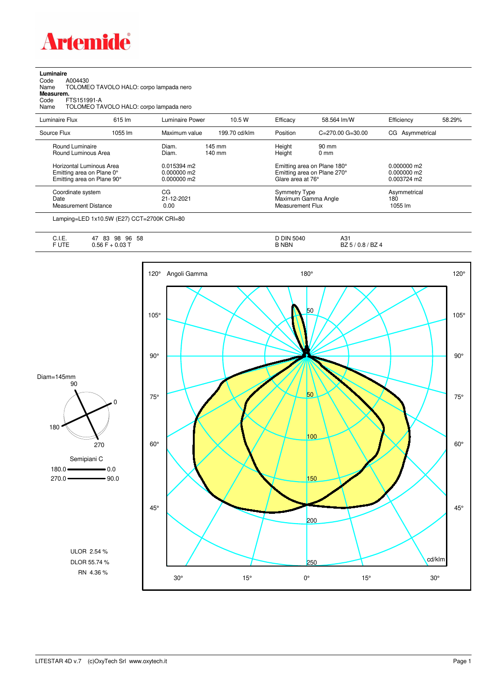

| Luminaire |  |
|-----------|--|
| $\sim$    |  |

Code A004430 Name TOLOMEO TAVOLO HALO: corpo lampada nero

**Measurem.**

Code FTS151991-A Name TOLOMEO TAVOLO HALO: corpo lampada nero

| Luminaire Flux                                                                      | 615 lm  | Luminaire Power                             | 10.5W                      | Efficacy                                 | 58.564 lm/W                                                | Efficiency                                  | 58.29% |
|-------------------------------------------------------------------------------------|---------|---------------------------------------------|----------------------------|------------------------------------------|------------------------------------------------------------|---------------------------------------------|--------|
| Source Flux                                                                         | 1055 lm | Maximum value                               | 199.70 cd/klm              | Position                                 | $C = 270.00$ $G = 30.00$                                   | CG Asymmetrical                             |        |
| Round Luminaire<br>Round Luminous Area                                              |         | Diam.<br>Diam.                              | 145 mm<br>$140 \text{ mm}$ | Height<br>Height                         | $90 \text{ mm}$<br>$0 \text{ mm}$                          |                                             |        |
| Horizontal Luminous Area<br>Emitting area on Plane 0°<br>Emitting area on Plane 90° |         | 0.015394 m2<br>$0.000000$ m2<br>0.000000 m2 |                            | Glare area at 76°                        | Emitting area on Plane 180°<br>Emitting area on Plane 270° | 0.000000 m2<br>$0.000000$ m2<br>0.003724 m2 |        |
| Coordinate system<br>Date<br><b>Measurement Distance</b>                            |         | CG<br>21-12-2021<br>0.00                    |                            | Symmetry Type<br><b>Measurement Flux</b> | Maximum Gamma Angle                                        | Asymmetrical<br>180<br>1055 lm              |        |
|                                                                                     |         |                                             |                            |                                          |                                                            |                                             |        |

Lamping=LED 1x10.5W (E27) CCT=2700K CRI=80

| ◡…    | 58<br>83<br>96<br>98<br>4 <sub>1</sub> | <b>DIN</b><br>5040 | ៱ ៱ .<br>AJ.                                          |
|-------|----------------------------------------|--------------------|-------------------------------------------------------|
| $-12$ | 0.03T<br>J.56 '                        | <b>NBN</b>         | $\sim$<br>B<br>BZ 4<br>$\overline{\mathbf{u}}$<br>U.O |